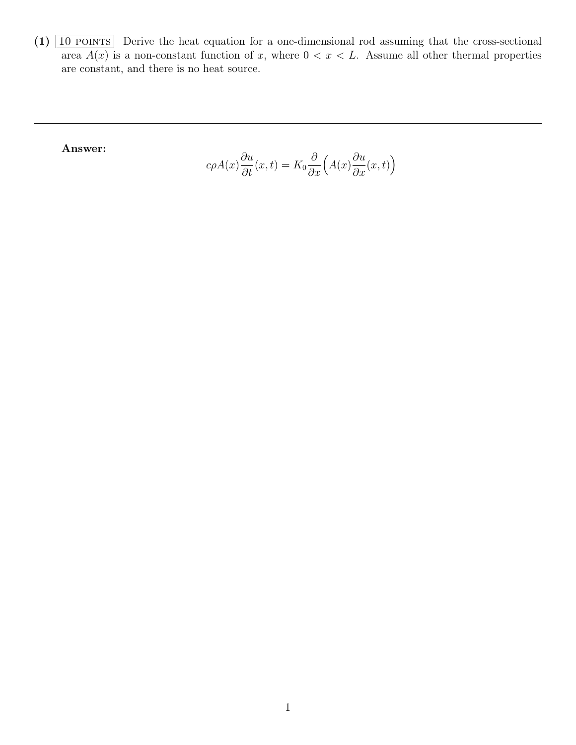$(1)$   $\boxed{10 \text{ PONTS}}$  Derive the heat equation for a one-dimensional rod assuming that the cross-sectional area  $A(x)$  is a non-constant function of x, where  $0 < x < L$ . Assume all other thermal properties are constant, and there is no heat source.

Answer:

$$
c\rho A(x)\frac{\partial u}{\partial t}(x,t) = K_0 \frac{\partial}{\partial x}\Big(A(x)\frac{\partial u}{\partial x}(x,t)\Big)
$$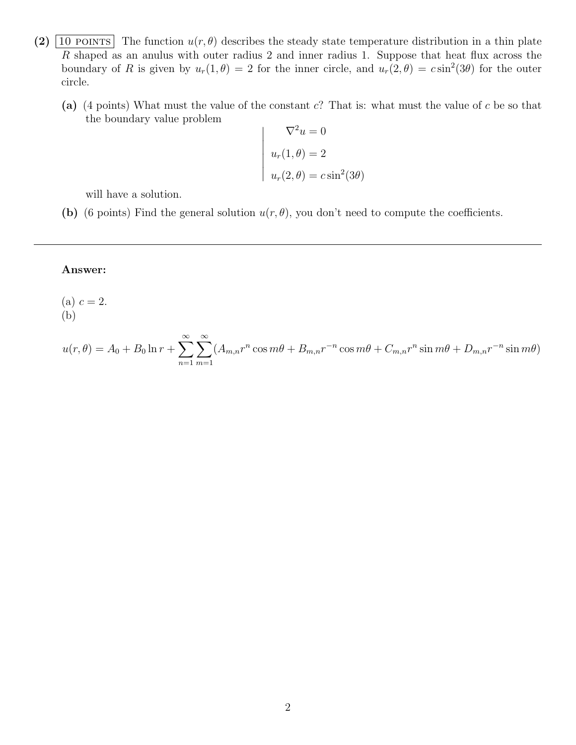- (2)  $\boxed{10 \text{ POINTS}}$  The function  $u(r, \theta)$  describes the steady state temperature distribution in a thin plate  $R$  shaped as an anulus with outer radius 2 and inner radius 1. Suppose that heat flux across the boundary of R is given by  $u_r(1, \theta) = 2$  for the inner circle, and  $u_r(2, \theta) = c \sin^2(3\theta)$  for the outer circle.
	- (a) (4 points) What must the value of the constant  $c$ ? That is: what must the value of c be so that the boundary value problem

$$
\nabla^2 u = 0
$$
  
\n
$$
u_r(1, \theta) = 2
$$
  
\n
$$
u_r(2, \theta) = c \sin^2(3\theta)
$$

will have a solution.

(b) (6 points) Find the general solution  $u(r, \theta)$ , you don't need to compute the coefficients.

## Answer:

(a)  $c = 2$ . (b)

$$
u(r,\theta) = A_0 + B_0 \ln r + \sum_{n=1}^{\infty} \sum_{m=1}^{\infty} (A_{m,n}r^n \cos m\theta + B_{m,n}r^{-n} \cos m\theta + C_{m,n}r^n \sin m\theta + D_{m,n}r^{-n} \sin m\theta)
$$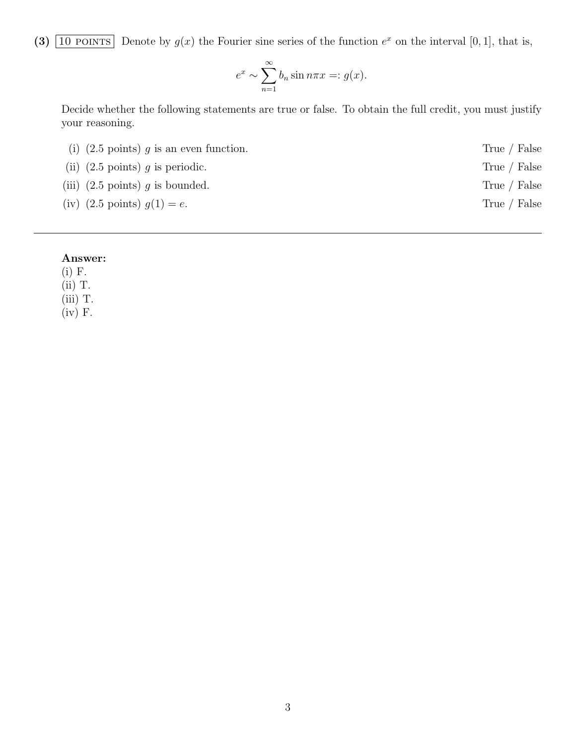(3)  $\boxed{10 \text{ POINTS}}$  Denote by  $g(x)$  the Fourier sine series of the function  $e^x$  on the interval [0, 1], that is,

$$
e^x \sim \sum_{n=1}^{\infty} b_n \sin n\pi x =: g(x).
$$

Decide whether the following statements are true or false. To obtain the full credit, you must justify your reasoning.

| (i) $(2.5 \text{ points}) q$ is an even function. | True / False |
|---------------------------------------------------|--------------|
| (ii) $(2.5 \text{ points})$ g is periodic.        | True / False |
| (iii) $(2.5 \text{ points})$ g is bounded.        | True / False |
| (iv) $(2.5 \text{ points}) g(1) = e$ .            | True / False |
|                                                   |              |

## Answer:

(i) F.

(ii) T.

(iii) T.

 $(iv)$  F.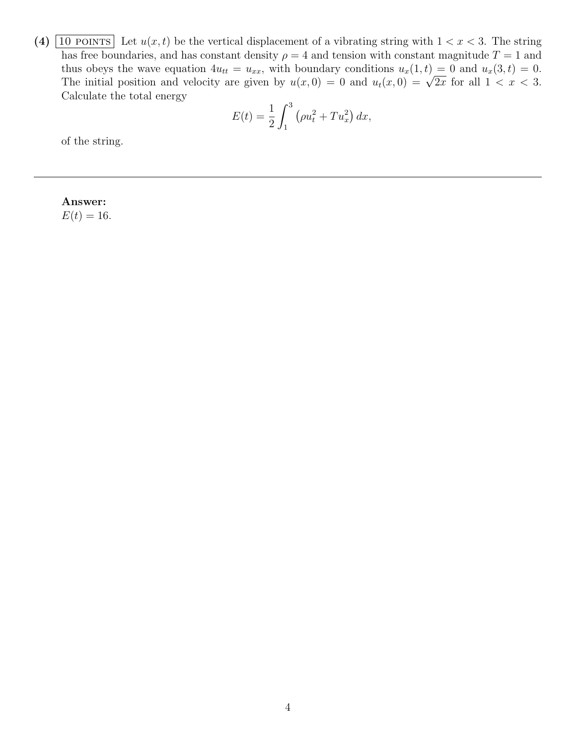(4)  $\boxed{10 \text{ POINTS}}$  Let  $u(x, t)$  be the vertical displacement of a vibrating string with  $1 < x < 3$ . The string has free boundaries, and has constant density  $\rho = 4$  and tension with constant magnitude  $T = 1$  and thus obeys the wave equation  $4u_{tt} = u_{xx}$ , with boundary conditions  $u_x(1,t) = 0$  and  $u_x(3,t) = 0$ . The initial position and velocity are given by  $u(x, 0) = 0$  and  $u_t(x, 0) = \sqrt{2x}$  for all  $1 < x < 3$ . Calculate the total energy

$$
E(t) = \frac{1}{2} \int_{1}^{3} \left( \rho u_t^2 + T u_x^2 \right) dx,
$$

of the string.

Answer:

 $E(t) = 16.$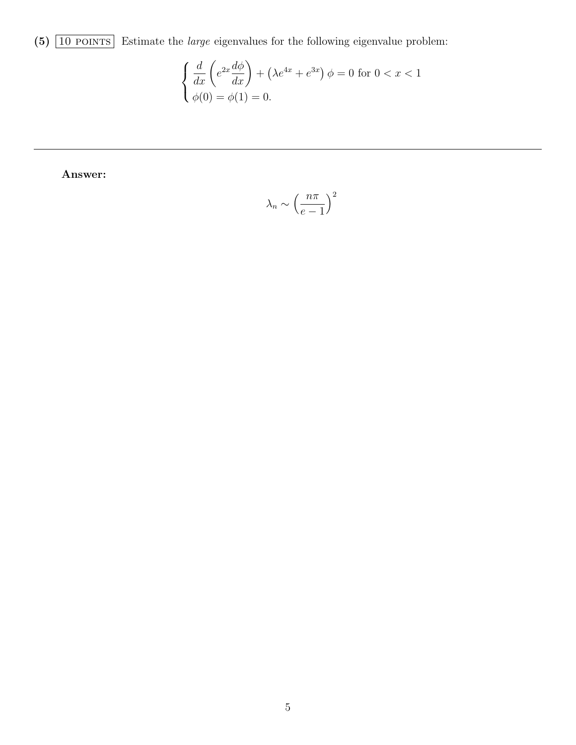(5)  $\boxed{10 \text{ POINTS}}$  Estimate the *large* eigenvalues for the following eigenvalue problem:

$$
\begin{cases} \frac{d}{dx} \left( e^{2x} \frac{d\phi}{dx} \right) + \left( \lambda e^{4x} + e^{3x} \right) \phi = 0 \text{ for } 0 < x < 1\\ \phi(0) = \phi(1) = 0. \end{cases}
$$

Answer:

$$
\lambda_n \sim \left(\frac{n\pi}{e-1}\right)^2
$$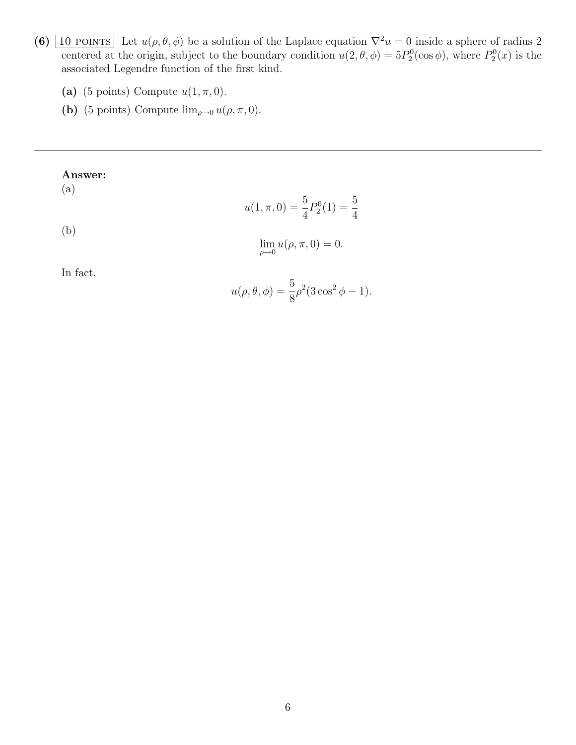- (6)  $\boxed{10 \text{ POINTS}}$  Let  $u(\rho, \theta, \phi)$  be a solution of the Laplace equation  $\nabla^2 u = 0$  inside a sphere of radius 2 centered at the origin, subject to the boundary condition  $u(2, \theta, \phi) = 5P_2^0(\cos \phi)$ , where  $P_2^0(x)$  is the associated Legendre function of the first kind.
	- (a) (5 points) Compute  $u(1, \pi, 0)$ .
	- (b) (5 points) Compute  $\lim_{\rho \to 0} u(\rho, \pi, 0)$ .

## Answer:

(a)

$$
u(1, \pi, 0) = \frac{5}{4} P_2^0(1) = \frac{5}{4}
$$

(b)

$$
\lim_{\rho \to 0} u(\rho, \pi, 0) = 0.
$$

In fact,

$$
u(\rho, \theta, \phi) = \frac{5}{8}\rho^2 (3\cos^2 \phi - 1).
$$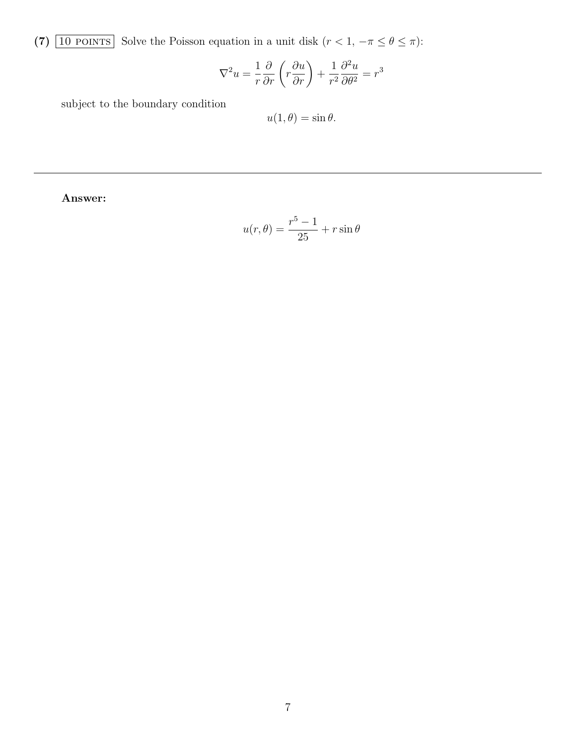(7)  $\boxed{10$  POINTS Solve the Poisson equation in a unit disk  $(r < 1, -\pi \leq \theta \leq \pi)$ :

$$
\nabla^2 u = \frac{1}{r} \frac{\partial}{\partial r} \left( r \frac{\partial u}{\partial r} \right) + \frac{1}{r^2} \frac{\partial^2 u}{\partial \theta^2} = r^3
$$

subject to the boundary condition

$$
u(1,\theta) = \sin \theta.
$$

Answer:

$$
u(r,\theta) = \frac{r^5 - 1}{25} + r\sin\theta
$$